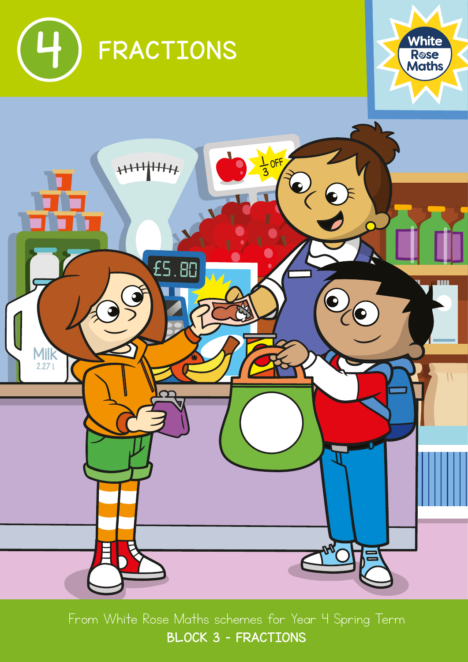





From White Rose Maths schemes for Year 4 Spring Term BLOCK 3 - FRACTIONS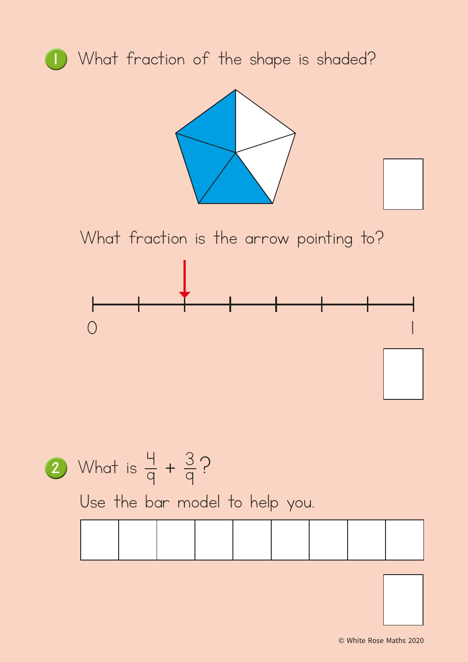





What fraction is the arrow pointing to?



2) What is  $\frac{4}{9} + \frac{3}{9}$ ?

Use the bar model to help you.

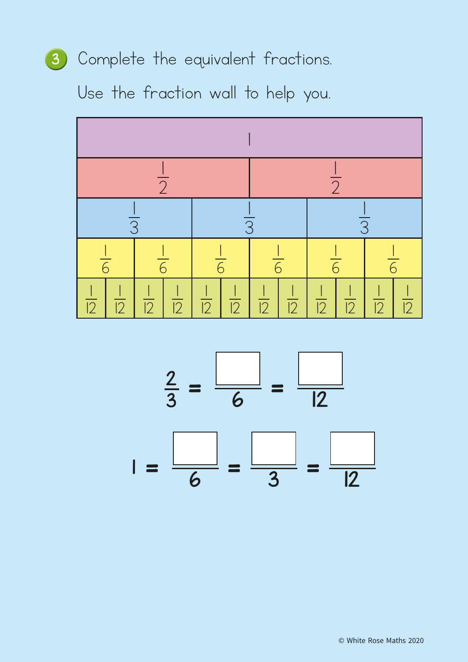## Complete the equivalent fractions.

Use the fraction wall to help you.





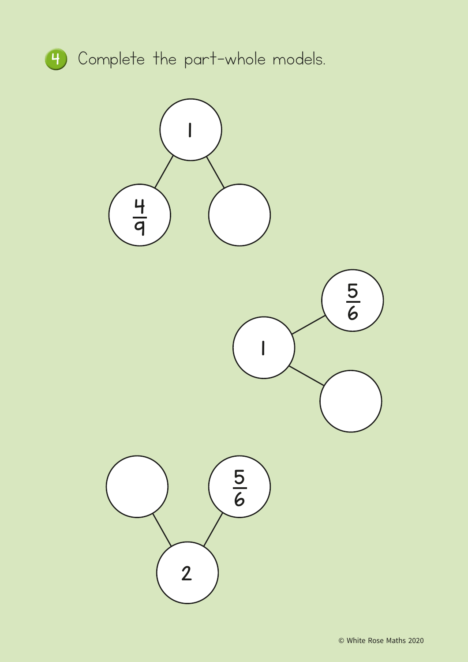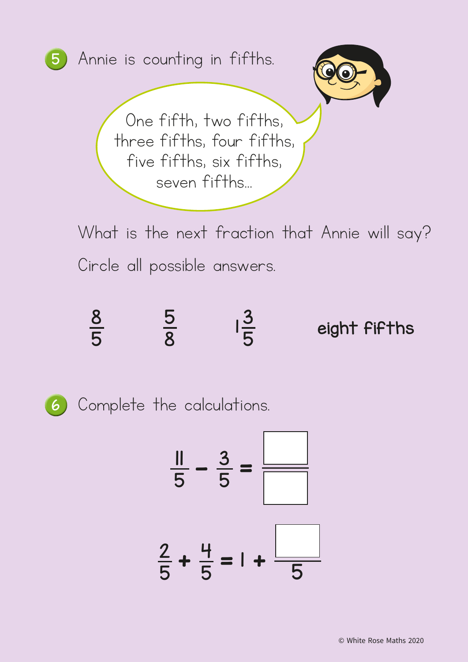

$$
\frac{2}{5} + \frac{4}{5} = 1 + \boxed{}
$$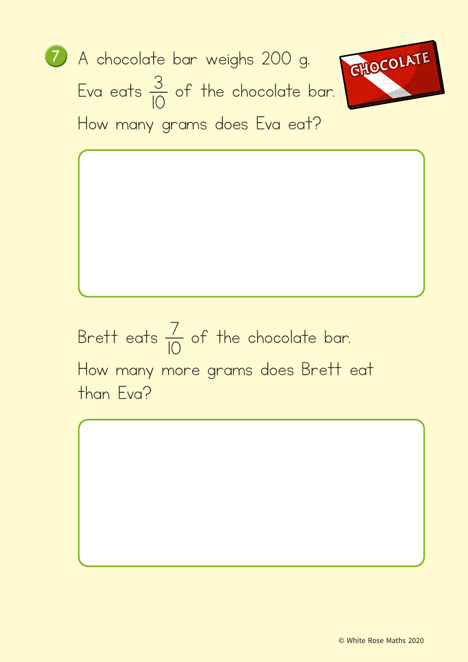



Brett eats  $\frac{7}{10}$  $\frac{7}{10}$  of the chocolate bar. How many more grams does Brett eat than Eva?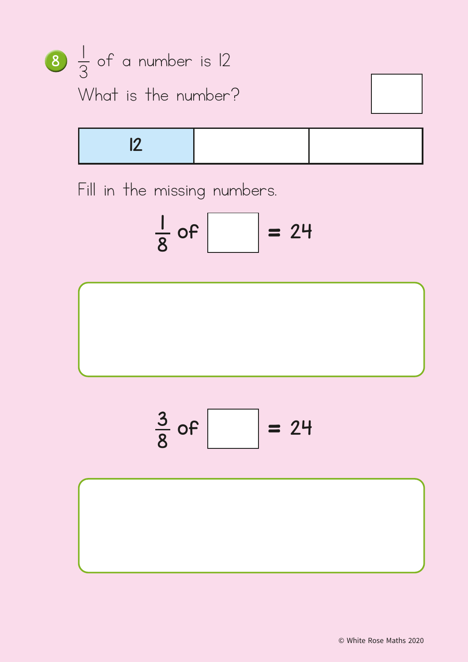

Fill in the missing numbers.

$$
\frac{1}{8} \text{ of } \boxed{ } = 24
$$



$$
\frac{3}{8} \text{ of } \boxed{ } = 24
$$